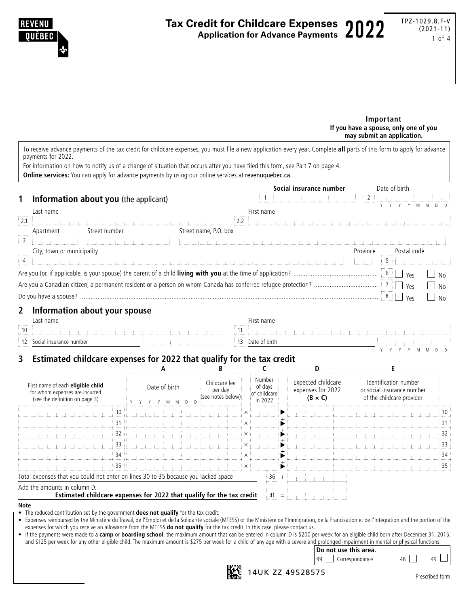

#### **Important If you have a spouse, only one of you may submit an application.**

To receive advance payments of the tax credit for childcare expenses, you must file a new application every year. Complete **all** parts of this form to apply for advance payments for 2022.

For information on how to notify us of a change of situation that occurs after you have filed this form, see Part 7 on page 4. **Online services:** You can apply for advance payments by using our online services at [revenuquebec.ca.](http://www.revenuquebec.ca)

|                                                      | Social insurance number                                                                                                                                                                                                                                                                                             |          | Date of birth |  |
|------------------------------------------------------|---------------------------------------------------------------------------------------------------------------------------------------------------------------------------------------------------------------------------------------------------------------------------------------------------------------------|----------|---------------|--|
| Information about you (the applicant)<br>$\mathbf 1$ | $\frac{1}{2}$ . The contribution of $\frac{1}{2}$ $\frac{1}{2}$ $\frac{1}{2}$ $\frac{1}{2}$ $\frac{1}{2}$ $\frac{1}{2}$ $\frac{1}{2}$ $\frac{1}{2}$ $\frac{1}{2}$ $\frac{1}{2}$ $\frac{1}{2}$ $\frac{1}{2}$ $\frac{1}{2}$ $\frac{1}{2}$ $\frac{1}{2}$ $\frac{1}{2}$ $\frac{1}{2}$ $\frac{1}{2}$ $\frac{1}{2}$<br>-H |          |               |  |
| Last name                                            | First name                                                                                                                                                                                                                                                                                                          |          |               |  |
| $\frac{1}{2}$ 2.1                                    | a random no random no random no random no random no random no random no random no random no random no random no random no random no random no random no random no random no random no random no random no random no random no                                                                                       |          |               |  |
| Street number<br>Apartment                           | Street name, P.O. box                                                                                                                                                                                                                                                                                               |          |               |  |
|                                                      | a ka mara ka mara ka mara ka mara a shekara a shekara ta masa a shekara ta masa masa masa masa masa masa masa                                                                                                                                                                                                       |          |               |  |
| City, town or municipality                           |                                                                                                                                                                                                                                                                                                                     | Province | Postal code   |  |
|                                                      |                                                                                                                                                                                                                                                                                                                     |          | $\pm$ 5 $\pm$ |  |
|                                                      |                                                                                                                                                                                                                                                                                                                     |          |               |  |
|                                                      |                                                                                                                                                                                                                                                                                                                     |          |               |  |
|                                                      |                                                                                                                                                                                                                                                                                                                     |          |               |  |

### **2 Information about your spouse**

| Last name                    | First<br>* name                      |                                                                                                            |
|------------------------------|--------------------------------------|------------------------------------------------------------------------------------------------------------|
| .<br>10:                     | $\cdots \cdots \cdots \cdots \cdots$ | ; incondensations describementalements condensations des condensations des condensations des condensations |
| .<br>incuranc<br>number<br>. | .<br>Date of birth<br>.              |                                                                                                            |
|                              |                                      |                                                                                                            |

# **3 Estimated childcare expenses for 2022 that qualify for the tax credit**

| First name of each eligible child<br>for whom expenses are incurred<br>(see the definition on page 3) |  | Date of birth                                                         | Childcare fee<br>per day<br>see notes below): | Number<br>of days<br>of childcare<br>in 2022 |         | Expected childcare<br>expenses for 2022<br>$(B \times C)$ | Identification number<br>or social insurance number<br>of the childcare provider |  |  |
|-------------------------------------------------------------------------------------------------------|--|-----------------------------------------------------------------------|-----------------------------------------------|----------------------------------------------|---------|-----------------------------------------------------------|----------------------------------------------------------------------------------|--|--|
|                                                                                                       |  |                                                                       |                                               |                                              |         |                                                           |                                                                                  |  |  |
|                                                                                                       |  |                                                                       |                                               |                                              |         |                                                           |                                                                                  |  |  |
|                                                                                                       |  |                                                                       |                                               |                                              |         |                                                           |                                                                                  |  |  |
|                                                                                                       |  |                                                                       |                                               |                                              |         |                                                           |                                                                                  |  |  |
|                                                                                                       |  |                                                                       |                                               |                                              |         |                                                           |                                                                                  |  |  |
|                                                                                                       |  |                                                                       |                                               |                                              |         |                                                           |                                                                                  |  |  |
| Total expenses that you could not enter on lines 30 to 35 because you lacked space                    |  |                                                                       |                                               |                                              | 36      |                                                           |                                                                                  |  |  |
| Add the amounts in column D.                                                                          |  | Estimated childcare expenses for 2022 that qualify for the tax credit |                                               |                                              | $41 :=$ |                                                           |                                                                                  |  |  |

#### **Note**

• The reduced contribution set by the government **does not qualify** for the tax credit.

• Expenses reimbursed by the Ministère du Travail, de l'Emploi et de la Solidarité sociale (MTESS) or the Ministère de l'Immigration, de la Francisation et de l'Intégration and the portion of the expenses for which you receive an allowance from the MTESS **do not qualify** for the tax credit. In this case, please contact us.

• If the payments were made to a **camp** or **boarding school**, the maximum amount that can be entered in column D is \$200 per week for an eligible child born after December 31, 2015, and \$125 per week for any other eligible child. The maximum amount is \$275 per week for a child of any age with a severe and prolonged impairment in mental or physical functions. **Do not use this area.**



**14UK ZZ 49528575** 

99 | Correspondance 48 | 49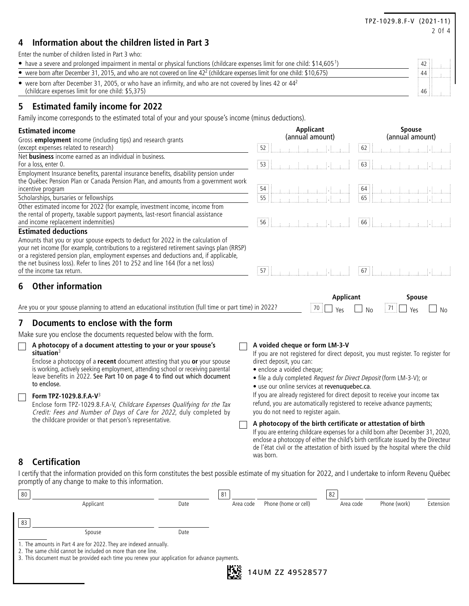| 42      |
|---------|
| 44      |
| : 46 :: |
|         |

TPZ-1029.8.F-V (2021-11)

2 0f 4

# **5 Estimated family income for 2022**

Family income corresponds to the estimated total of your and your spouse's income (minus deductions).

| <b>Estimated income</b>                                                                                                                                                                                                                                                                                                                                                                                               | Applicant<br>(annual amount)                                                                                                                                                                                                                                                                          | <b>Spouse</b><br>(annual amount)                                                                                                                                                                                                                                                                                       |  |  |  |  |
|-----------------------------------------------------------------------------------------------------------------------------------------------------------------------------------------------------------------------------------------------------------------------------------------------------------------------------------------------------------------------------------------------------------------------|-------------------------------------------------------------------------------------------------------------------------------------------------------------------------------------------------------------------------------------------------------------------------------------------------------|------------------------------------------------------------------------------------------------------------------------------------------------------------------------------------------------------------------------------------------------------------------------------------------------------------------------|--|--|--|--|
| Gross employment income (including tips) and research grants<br>(except expenses related to research)                                                                                                                                                                                                                                                                                                                 | 52<br>第一批 10                                                                                                                                                                                                                                                                                          | 62                                                                                                                                                                                                                                                                                                                     |  |  |  |  |
| Net <b>business</b> income earned as an individual in business.<br>For a loss, enter 0.                                                                                                                                                                                                                                                                                                                               | 53<br>第14章                                                                                                                                                                                                                                                                                            | 63                                                                                                                                                                                                                                                                                                                     |  |  |  |  |
| Employment Insurance benefits, parental insurance benefits, disability pension under<br>the Québec Pension Plan or Canada Pension Plan, and amounts from a government work<br>incentive program                                                                                                                                                                                                                       | 54                                                                                                                                                                                                                                                                                                    | $64$ $\frac{1}{2}$ $\frac{1}{2}$ $\frac{1}{2}$ $\frac{1}{2}$ $\frac{1}{2}$ $\frac{1}{2}$ $\frac{1}{2}$ $\frac{1}{2}$ $\frac{1}{2}$ $\frac{1}{2}$ $\frac{1}{2}$ $\frac{1}{2}$ $\frac{1}{2}$ $\frac{1}{2}$ $\frac{1}{2}$ $\frac{1}{2}$ $\frac{1}{2}$ $\frac{1}{2}$ $\frac{1}{2}$ $\frac{1}{2}$ $\frac{1}{2}$ $\frac{1}{$ |  |  |  |  |
| Scholarships, bursaries or fellowships                                                                                                                                                                                                                                                                                                                                                                                | 55                                                                                                                                                                                                                                                                                                    | 65                                                                                                                                                                                                                                                                                                                     |  |  |  |  |
| Other estimated income for 2022 (for example, investment income, income from<br>the rental of property, taxable support payments, last-resort financial assistance<br>and income replacement indemnities)                                                                                                                                                                                                             | 56   <u>Jacques Lands   Jacques   Jacques   Jacques   Jacques   Jacques   Jacques   Jacques   Jacques   Jacques   J</u>                                                                                                                                                                               |                                                                                                                                                                                                                                                                                                                        |  |  |  |  |
| <b>Estimated deductions</b><br>Amounts that you or your spouse expects to deduct for 2022 in the calculation of<br>your net income (for example, contributions to a registered retirement savings plan (RRSP)<br>or a registered pension plan, employment expenses and deductions and, if applicable,<br>the net business loss). Refer to lines 201 to 252 and line 164 (for a net loss)<br>of the income tax return. | $57$ $\frac{1}{2}$ $\frac{1}{2}$ $\frac{1}{2}$ $\frac{1}{2}$ $\frac{1}{2}$ $\frac{1}{2}$ $\frac{1}{2}$ $\frac{1}{2}$ $\frac{1}{2}$                                                                                                                                                                    |                                                                                                                                                                                                                                                                                                                        |  |  |  |  |
| <b>Other information</b><br>6                                                                                                                                                                                                                                                                                                                                                                                         | <b>Applicant</b>                                                                                                                                                                                                                                                                                      | <b>Spouse</b>                                                                                                                                                                                                                                                                                                          |  |  |  |  |
| Are you or your spouse planning to attend an educational institution (full time or part time) in 2022?                                                                                                                                                                                                                                                                                                                | 70<br>Υρς                                                                                                                                                                                                                                                                                             | $\frac{1}{2}$ 71 $\frac{1}{2}$<br>No<br>Yes<br>No                                                                                                                                                                                                                                                                      |  |  |  |  |
| Documents to enclose with the form<br>7                                                                                                                                                                                                                                                                                                                                                                               |                                                                                                                                                                                                                                                                                                       |                                                                                                                                                                                                                                                                                                                        |  |  |  |  |
| Make sure you enclose the documents requested below with the form.                                                                                                                                                                                                                                                                                                                                                    |                                                                                                                                                                                                                                                                                                       |                                                                                                                                                                                                                                                                                                                        |  |  |  |  |
| A photocopy of a document attesting to your or your spouse's<br><b>College</b><br>situation $3$<br>Enclose a photocopy of a recent document attesting that you or your spouse<br>is working, actively seeking employment, attending school or receiving parental<br>leave benefits in 2022. See Part 10 on page 4 to find out which document<br>to enclose.                                                           | A voided cheque or form LM-3-V<br>If you are not registered for direct deposit, you must register. To register for<br>direct deposit, you can:<br>· enclose a voided cheque;<br>• file a duly completed Request for Direct Deposit (form LM-3-V); or<br>• use our online services at revenuquebec.ca. |                                                                                                                                                                                                                                                                                                                        |  |  |  |  |
| Form TPZ-1029.8.F.A-V <sup>3</sup><br>Enclose form TPZ-1029.8.F.A-V, Childcare Expenses Qualifying for the Tax<br>Credit: Fees and Number of Days of Care for 2022, duly completed by                                                                                                                                                                                                                                 | If you are already registered for direct deposit to receive your income tax<br>refund, you are automatically registered to receive advance payments;                                                                                                                                                  |                                                                                                                                                                                                                                                                                                                        |  |  |  |  |
| the childcare provider or that person's representative.                                                                                                                                                                                                                                                                                                                                                               | A photocopy of the birth certificate or attestation of birth                                                                                                                                                                                                                                          | If you are entering childcare expenses for a child born after December 31, 2020,<br>enclose a photocopy of either the child's birth certificate issued by the Directeur                                                                                                                                                |  |  |  |  |

# **8 Certification**

I certify that the information provided on this form constitutes the best possible estimate of my situation for 2022, and I undertake to inform Revenu Québec promptly of any change to make to this information.

| 80 |                                                                                                                                  |      | 81 |           |                      | 82 |           |              |           |
|----|----------------------------------------------------------------------------------------------------------------------------------|------|----|-----------|----------------------|----|-----------|--------------|-----------|
|    | Applicant                                                                                                                        | Date |    | Area code | Phone (home or cell) |    | Area code | Phone (work) | Extension |
|    |                                                                                                                                  |      |    |           |                      |    |           |              |           |
| 83 |                                                                                                                                  |      |    |           |                      |    |           |              |           |
|    | Spouse                                                                                                                           | Date |    |           |                      |    |           |              |           |
|    | 1. The amounts in Part 4 are for 2022. They are indexed annually.<br>2. The same child cannot be included on more than one line. |      |    |           |                      |    |           |              |           |

3. This document must be provided each time you renew your application for advance payments.



was born.

de l'état civil or the attestation of birth issued by the hospital where the child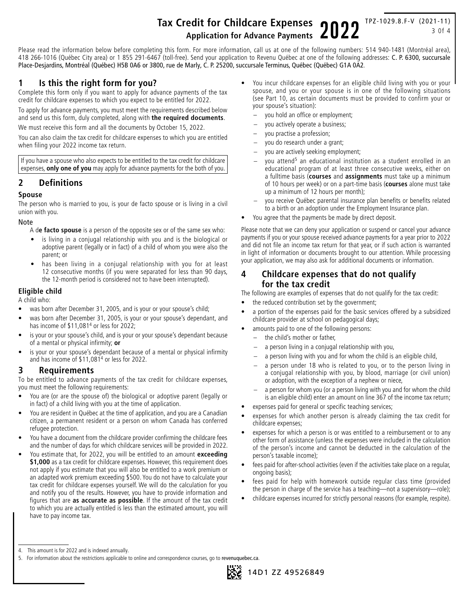### TPZ-1029.8.F-V (2021-11) 3 0f 4 **Tax Credit for Childcare Expenses Application for Advance Payments** 2022

Please read the information below before completing this form. For more information, call us at one of the following numbers: 514 940-1481 (Montréal area), 418 266-1016 (Québec City area) or 1 855 291-6467 (toll-free). Send your application to Revenu Québec at one of the following addresses: C. P. 6300, succursale Place-Desjardins, Montréal (Québec) H5B 0A6 or 3800, rue de Marly, C. P. 25200, succursale Terminus, Québec (Québec) G1A 0A2.

# **1 Is this the right form for you?**

Complete this form only if you want to apply for advance payments of the tax credit for childcare expenses to which you expect to be entitled for 2022.

To apply for advance payments, you must meet the requirements described below and send us this form, duly completed, along with **the required documents**.

We must receive this form and all the documents by October 15, 2022.

You can also claim the tax credit for childcare expenses to which you are entitled when filing your 2022 income tax return.

If you have a spouse who also expects to be entitled to the tax credit for childcare expenses, **only one of you** may apply for advance payments for the both of you.

### **2 Definitions**

#### **Spouse**

The person who is married to you, is your de facto spouse or is living in a civil union with you.

#### Note

A d**e facto spouse** is a person of the opposite sex or of the same sex who:

- is living in a conjugal relationship with you and is the biological or adoptive parent (legally or in fact) of a child of whom you were also the parent; or
- has been living in a conjugal relationship with you for at least 12 consecutive months (if you were separated for less than 90 days, the 12-month period is considered not to have been interrupted).

#### **Eligible child**

A child who:

- was born after December 31, 2005, and is your or your spouse's child;
- was born after December 31, 2005, is your or your spouse's dependant, and has income of \$11,081<sup>4</sup> or less for 2022;
- is your or your spouse's child, and is your or your spouse's dependant because of a mental or physical infirmity; **or**
- is your or your spouse's dependant because of a mental or physical infirmity and has income of \$11,081<sup>4</sup> or less for 2022.

### **3 Requirements**

To be entitled to advance payments of the tax credit for childcare expenses, you must meet the following requirements:

- You are (or are the spouse of) the biological or adoptive parent (legally or in fact) of a child living with you at the time of application.
- You are resident in Québec at the time of application, and you are a Canadian citizen, a permanent resident or a person on whom Canada has conferred refugee protection.
- You have a document from the childcare provider confirming the childcare fees and the number of days for which childcare services will be provided in 2022.
- You estimate that, for 2022, you will be entitled to an amount **exceeding \$1,000** as a tax credit for childcare expenses. However, this requirement does not apply if you estimate that you will also be entitled to a work premium or an adapted work premium exceeding \$500. You do not have to calculate your tax credit for childcare expenses yourself. We will do the calculation for you and notify you of the results. However, you have to provide information and figures that are **as accurate as possible**. If the amount of the tax credit to which you are actually entitled is less than the estimated amount, you will have to pay income tax.
- You incur childcare expenses for an eligible child living with you or your spouse, and you or your spouse is in one of the following situations (see Part 10, as certain documents must be provided to confirm your or your spouse's situation):
	- you hold an office or employment;
	- you actively operate a business;
	- you practise a profession;
	- − you do research under a grant;
	- you are actively seeking employment;
	- you attend<sup>5</sup> an educational institution as a student enrolled in an educational program of at least three consecutive weeks, either on a fulltime basis (**courses** and **assignments** must take up a minimum of 10 hours per week) or on a part-time basis (**courses** alone must take up a minimum of 12 hours per month);
	- − you receive Québec parental insurance plan benefits or benefits related to a birth or an adoption under the Employment Insurance plan.
- You agree that the payments be made by direct deposit.

Please note that we can deny your application or suspend or cancel your advance payments if you or your spouse received advance payments for a year prior to 2022 and did not file an income tax return for that year, or if such action is warranted in light of information or documents brought to our attention. While processing your application, we may also ask for additional documents or information.

### **4 Childcare expenses that do not qualify for the tax credit**

The following are examples of expenses that do not qualify for the tax credit:

- the reduced contribution set by the government;
- a portion of the expenses paid for the basic services offered by a subsidized childcare provider at school on pedagogical days;
	- amounts paid to one of the following persons:
	- the child's mother or father,

14D1 ZZ 49526849

- − a person living in a conjugal relationship with you,
- a person living with you and for whom the child is an eligible child,
- a person under 18 who is related to you, or to the person living in a conjugal relationship with you, by blood, marriage (or civil union) or adoption, with the exception of a nephew or niece,
- a person for whom you (or a person living with you and for whom the child is an eligible child) enter an amount on line 367 of the income tax return;
- expenses paid for general or specific teaching services;
- expenses for which another person is already claiming the tax credit for childcare expenses;
- expenses for which a person is or was entitled to a reimbursement or to any other form of assistance (unless the expenses were included in the calculation of the person's income and cannot be deducted in the calculation of the person's taxable income);
- fees paid for after-school activities (even if the activities take place on a regular, ongoing basis);
- fees paid for help with homework outside regular class time (provided the person in charge of the service has a teaching—not a supervisory—role);
- childcare expenses incurred for strictly personal reasons (for example, respite).

<sup>4.</sup> This amount is for 2022 and is indexed annually.

<sup>5.</sup> For information about the restrictions applicable to online and correspondence courses, go to [revenuquebec.ca](http://www.revenuquebec.ca).